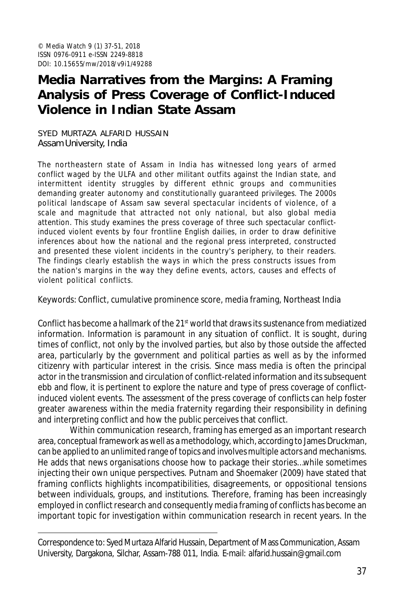# **Media Narratives from the Margins: A Framing Analysis of Press Coverage of Conflict-Induced Violence in Indian State Assam**

SYED MURTAZA ALFARID HUSSAIN Assam University, India

The northeastern state of Assam in India has witnessed long years of armed conflict waged by the ULFA and other militant outfits against the Indian state, and intermittent identity struggles by different ethnic groups and communities demanding greater autonomy and constitutionally guaranteed privileges. The 2000s political landscape of Assam saw several spectacular incidents of violence, of a scale and magnitude that attracted not only national, but also global media attention. This study examines the press coverage of three such spectacular conflictinduced violent events by four frontline English dailies, in order to draw definitive inferences about how the national and the regional press interpreted, constructed and presented these violent incidents in the country's periphery, to their readers. The findings clearly establish the ways in which the press constructs issues from the nation's margins in the way they define events, actors, causes and effects of violent political conflicts.

Keywords: Conflict, cumulative prominence score, media framing, Northeast India

Conflict has become a hallmark of the  $21<sup>st</sup>$  world that draws its sustenance from mediatized information. Information is paramount in any situation of conflict. It is sought, during times of conflict, not only by the involved parties, but also by those outside the affected area, particularly by the government and political parties as well as by the informed citizenry with particular interest in the crisis. Since mass media is often the principal actor in the transmission and circulation of conflict-related information and its subsequent ebb and flow, it is pertinent to explore the nature and type of press coverage of conflictinduced violent events. The assessment of the press coverage of conflicts can help foster greater awareness within the media fraternity regarding their responsibility in defining and interpreting conflict and how the public perceives that conflict.

Within communication research, framing has emerged as an important research area, conceptual framework as well as a methodology, which, according to James Druckman, can be applied to an unlimited range of topics and involves multiple actors and mechanisms. He adds that news organisations choose how to package their stories…while sometimes injecting their own unique perspectives. Putnam and Shoemaker (2009) have stated that framing conflicts highlights incompatibilities, disagreements, or oppositional tensions between individuals, groups, and institutions. Therefore, framing has been increasingly employed in conflict research and consequently media framing of conflicts has become an important topic for investigation within communication research in recent years. In the

Correspondence to: Syed Murtaza Alfarid Hussain, Department of Mass Communication, Assam University, Dargakona, Silchar, Assam-788 011, India. E-mail: alfarid.hussain@gmail.com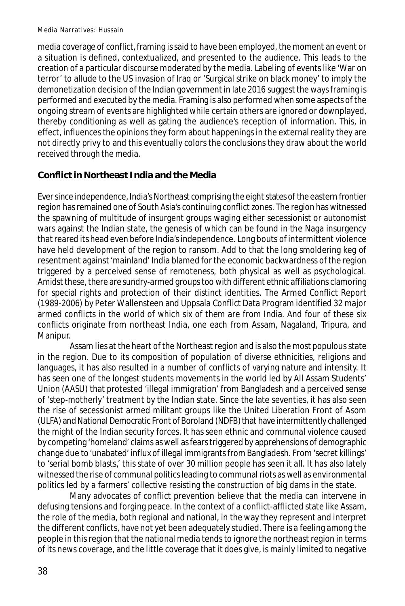media coverage of conflict, framing is said to have been employed, the moment an event or a situation is defined, contextualized, and presented to the audience. This leads to the creation of a particular discourse moderated by the media. Labeling of events like 'War on terror' to allude to the US invasion of Iraq or 'Surgical strike on black money' to imply the demonetization decision of the Indian government in late 2016 suggest the ways framing is performed and executed by the media. Framing is also performed when some aspects of the ongoing stream of events are highlighted while certain others are ignored or downplayed, thereby conditioning as well as gating the audience's reception of information. This, in effect, influences the opinions they form about happenings in the external reality they are not directly privy to and this eventually colors the conclusions they draw about the world received through the media.

## **Conflict in Northeast India and the Media**

Ever since independence, India's Northeast comprising the eight states of the eastern frontier region has remained one of South Asia's continuing conflict zones. The region has witnessed the spawning of multitude of insurgent groups waging either secessionist or autonomist wars against the Indian state, the genesis of which can be found in the Naga insurgency that reared its head even before India's independence. Long bouts of intermittent violence have held development of the region to ransom. Add to that the long smoldering keg of resentment against 'mainland' India blamed for the economic backwardness of the region triggered by a perceived sense of remoteness, both physical as well as psychological. Amidst these, there are sundry-armed groups too with different ethnic affiliations clamoring for special rights and protection of their distinct identities. The Armed Conflict Report (1989-2006) by Peter Wallensteen and Uppsala Conflict Data Program identified 32 major armed conflicts in the world of which six of them are from India. And four of these six conflicts originate from northeast India, one each from Assam, Nagaland, Tripura, and Manipur.

Assam lies at the heart of the Northeast region and is also the most populous state in the region. Due to its composition of population of diverse ethnicities, religions and languages, it has also resulted in a number of conflicts of varying nature and intensity. It has seen one of the longest students movements in the world led by All Assam Students' Union (AASU) that protested 'illegal immigration' from Bangladesh and a perceived sense of 'step-motherly' treatment by the Indian state. Since the late seventies, it has also seen the rise of secessionist armed militant groups like the United Liberation Front of Asom (ULFA) and National Democratic Front of Boroland (NDFB) that have intermittently challenged the might of the Indian security forces. It has seen ethnic and communal violence caused by competing 'homeland' claims as well as fears triggered by apprehensions of demographic change due to 'unabated' influx of illegal immigrants from Bangladesh. From 'secret killings' to 'serial bomb blasts,' this state of over 30 million people has seen it all. It has also lately witnessed the rise of communal politics leading to communal riots as well as environmental politics led by a farmers' collective resisting the construction of big dams in the state.

Many advocates of conflict prevention believe that the media can intervene in defusing tensions and forging peace. In the context of a conflict-afflicted state like Assam, the role of the media, both regional and national, in the way they represent and interpret the different conflicts, have not yet been adequately studied. There is a feeling among the people in this region that the national media tends to ignore the northeast region in terms of its news coverage, and the little coverage that it does give, is mainly limited to negative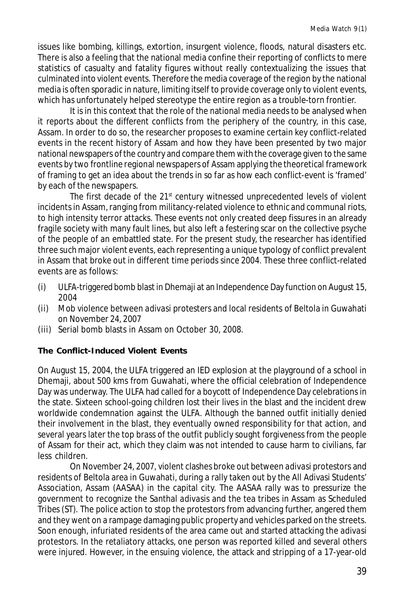issues like bombing, killings, extortion, insurgent violence, floods, natural disasters etc. There is also a feeling that the national media confine their reporting of conflicts to mere statistics of casualty and fatality figures without really contextualizing the issues that culminated into violent events. Therefore the media coverage of the region by the national media is often sporadic in nature, limiting itself to provide coverage only to violent events, which has unfortunately helped stereotype the entire region as a trouble-torn frontier.

It is in this context that the role of the national media needs to be analysed when it reports about the different conflicts from the periphery of the country, in this case, Assam. In order to do so, the researcher proposes to examine certain key conflict-related events in the recent history of Assam and how they have been presented by two major national newspapers of the country and compare them with the coverage given to the same events by two frontline regional newspapers of Assam applying the theoretical framework of framing to get an idea about the trends in so far as how each conflict-event is 'framed' by each of the newspapers.

The first decade of the  $21<sup>st</sup>$  century witnessed unprecedented levels of violent incidents in Assam, ranging from militancy-related violence to ethnic and communal riots, to high intensity terror attacks. These events not only created deep fissures in an already fragile society with many fault lines, but also left a festering scar on the collective psyche of the people of an embattled state. For the present study, the researcher has identified three such major violent events, each representing a unique typology of conflict prevalent in Assam that broke out in different time periods since 2004. These three conflict-related events are as follows:

- (i) ULFA-triggered bomb blast in Dhemaji at an Independence Day function on August 15, 2004
- (ii) Mob violence between *adivasi* protesters and local residents of Beltola in Guwahati on November 24, 2007
- (iii) Serial bomb blasts in Assam on October 30, 2008.

#### **The Conflict-Induced Violent Events**

On August 15, 2004, the ULFA triggered an IED explosion at the playground of a school in Dhemaji, about 500 kms from Guwahati, where the official celebration of Independence Day was underway. The ULFA had called for a boycott of Independence Day celebrations in the state. Sixteen school-going children lost their lives in the blast and the incident drew worldwide condemnation against the ULFA. Although the banned outfit initially denied their involvement in the blast, they eventually owned responsibility for that action, and several years later the top brass of the outfit publicly sought forgiveness from the people of Assam for their act, which they claim was not intended to cause harm to civilians, far less children.

On November 24, 2007, violent clashes broke out between *adivasi* protestors and residents of Beltola area in Guwahati, during a rally taken out by the All Adivasi Students' Association, Assam (AASAA) in the capital city. The AASAA rally was to pressurize the government to recognize the Santhal *adivasi*s and the tea tribes in Assam as Scheduled Tribes (ST). The police action to stop the protestors from advancing further, angered them and they went on a rampage damaging public property and vehicles parked on the streets. Soon enough, infuriated residents of the area came out and started attacking the *adivasi* protestors. In the retaliatory attacks, one person was reported killed and several others were injured. However, in the ensuing violence, the attack and stripping of a 17-year-old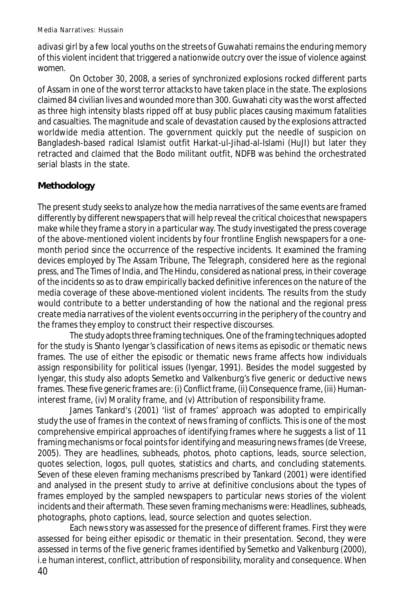*adivasi* girl by a few local youths on the streets of Guwahati remains the enduring memory of this violent incident that triggered a nationwide outcry over the issue of violence against women.

On October 30, 2008, a series of synchronized explosions rocked different parts of Assam in one of the worst terror attacks to have taken place in the state. The explosions claimed 84 civilian lives and wounded more than 300. Guwahati city was the worst affected as three high intensity blasts ripped off at busy public places causing maximum fatalities and casualties. The magnitude and scale of devastation caused by the explosions attracted worldwide media attention. The government quickly put the needle of suspicion on Bangladesh-based radical Islamist outfit Harkat-ul-Jihad-al-Islami (HuJI) but later they retracted and claimed that the Bodo militant outfit, NDFB was behind the orchestrated serial blasts in the state.

## **Methodology**

The present study seeks to analyze how the media narratives of the same events are framed differently by different newspapers that will help reveal the critical choices that newspapers make while they frame a story in a particular way. The study investigated the press coverage of the above-mentioned violent incidents by four frontline English newspapers for a onemonth period since the occurrence of the respective incidents. It examined the framing devices employed by *The Assam Tribune*, *The Telegraph*, considered here as the regional press, and *The Times of India*, and *The Hindu*, considered as national press, in their coverage of the incidents so as to draw empirically backed definitive inferences on the nature of the media coverage of these above-mentioned violent incidents. The results from the study would contribute to a better understanding of how the national and the regional press create media narratives of the violent events occurring in the periphery of the country and the frames they employ to construct their respective discourses.

The study adopts three framing techniques. One of the framing techniques adopted for the study is Shanto Iyengar's classification of news items as episodic or thematic news frames. The use of either the episodic or thematic news frame affects how individuals assign responsibility for political issues (Iyengar, 1991). Besides the model suggested by Iyengar, this study also adopts Semetko and Valkenburg's five generic or deductive news frames. These five generic frames are: (i) Conflict frame, (ii) Consequence frame, (iii) Humaninterest frame, (iv) Morality frame, and (v) Attribution of responsibility frame.

James Tankard's (2001) 'list of frames' approach was adopted to empirically study the use of frames in the context of news framing of conflicts. This is one of the most comprehensive empirical approaches of identifying frames where he suggests a list of 11 framing mechanisms or focal points for identifying and measuring news frames (de Vreese, 2005). They are headlines, subheads, photos, photo captions, leads, source selection, quotes selection, logos, pull quotes, statistics and charts, and concluding statements. Seven of these eleven framing mechanisms prescribed by Tankard (2001) were identified and analysed in the present study to arrive at definitive conclusions about the types of frames employed by the sampled newspapers to particular news stories of the violent incidents and their aftermath. These seven framing mechanisms were: Headlines, subheads, photographs, photo captions, lead, source selection and quotes selection.

40 Each news story was assessed for the presence of different frames. First they were assessed for being either episodic or thematic in their presentation. Second, they were assessed in terms of the five generic frames identified by Semetko and Valkenburg (2000), i.e human interest, conflict, attribution of responsibility, morality and consequence. When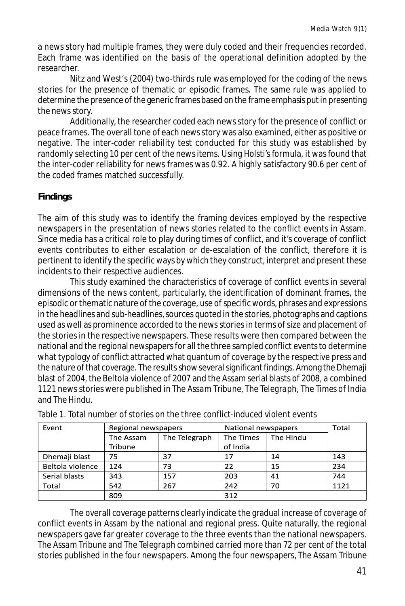a news story had multiple frames, they were duly coded and their frequencies recorded. Each frame was identified on the basis of the operational definition adopted by the researcher.

Nitz and West's (2004) two-thirds rule was employed for the coding of the news stories for the presence of thematic or episodic frames. The same rule was applied to determine the presence of the generic frames based on the frame emphasis put in presenting the news story.

Additionally, the researcher coded each news story for the presence of conflict or peace frames. The overall tone of each news story was also examined, either as positive or negative. The inter-coder reliability test conducted for this study was established by randomly selecting 10 per cent of the news items. Using Holsti's formula, it was found that the inter-coder reliability for news frames was 0.92. A highly satisfactory 90.6 per cent of the coded frames matched successfully.

#### **Findings**

The aim of this study was to identify the framing devices employed by the respective newspapers in the presentation of news stories related to the conflict events in Assam. Since media has a critical role to play during times of conflict, and it's coverage of conflict events contributes to either escalation or de-escalation of the conflict, therefore it is pertinent to identify the specific ways by which they construct, interpret and present these incidents to their respective audiences.

This study examined the characteristics of coverage of conflict events in several dimensions of the news content, particularly, the identification of dominant frames, the episodic or thematic nature of the coverage, use of specific words, phrases and expressions in the headlines and sub-headlines, sources quoted in the stories, photographs and captions used as well as prominence accorded to the news stories in terms of size and placement of the stories in the respective newspapers. These results were then compared between the national and the regional newspapers for all the three sampled conflict events to determine what typology of conflict attracted what quantum of coverage by the respective press and the nature of that coverage. The results show several significant findings. Among the Dhemaji blast of 2004, the Beltola violence of 2007 and the Assam serial blasts of 2008, a combined 1121 news stories were published in *The Assam Tribune*, *The Telegraph*, *The Times of India* and *The Hindu*.

| Event            | Regional newspapers |               | National newspapers |           | Total |
|------------------|---------------------|---------------|---------------------|-----------|-------|
|                  | The Assam           | The Telegraph | The Times           | The Hindu |       |
|                  | Tribune             |               | of India            |           |       |
| Dhemaji blast    | 75                  | 37            | 17                  | 14        | 143   |
| Beltola violence | 124                 | 73            | 22                  | 15        | 234   |
| Serial blasts    | 343                 | 157           | 203                 | 41        | 744   |
| Total            | 542                 | 267           | 242                 | 70        | 1121  |
|                  | 809                 |               | 312                 |           |       |

Table 1. Total number of stories on the three conflict-induced violent events

The overall coverage patterns clearly indicate the gradual increase of coverage of conflict events in Assam by the national and regional press. Quite naturally, the regional newspapers gave far greater coverage to the three events than the national newspapers. *The Assam Tribune* and *The Telegraph* combined carried more than 72 per cent of the total stories published in the four newspapers. Among the four newspapers, *The Assam Tribune*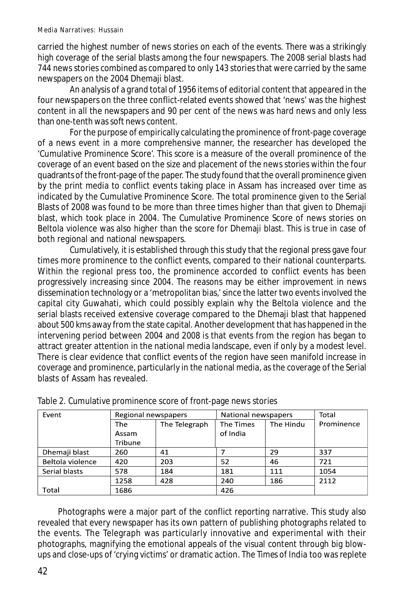carried the highest number of news stories on each of the events. There was a strikingly high coverage of the serial blasts among the four newspapers. The 2008 serial blasts had 744 news stories combined as compared to only 143 stories that were carried by the same newspapers on the 2004 Dhemaji blast.

An analysis of a grand total of 1956 items of editorial content that appeared in the four newspapers on the three conflict-related events showed that 'news' was the highest content in all the newspapers and 90 per cent of the news was hard news and only less than one-tenth was soft news content.

For the purpose of empirically calculating the prominence of front-page coverage of a news event in a more comprehensive manner, the researcher has developed the 'Cumulative Prominence Score'. This score is a measure of the overall prominence of the coverage of an event based on the size and placement of the news stories within the four quadrants of the front-page of the paper. The study found that the overall prominence given by the print media to conflict events taking place in Assam has increased over time as indicated by the Cumulative Prominence Score. The total prominence given to the Serial Blasts of 2008 was found to be more than three times higher than that given to Dhemaji blast, which took place in 2004. The Cumulative Prominence Score of news stories on Beltola violence was also higher than the score for Dhemaji blast. This is true in case of both regional and national newspapers.

Cumulatively, it is established through this study that the regional press gave four times more prominence to the conflict events, compared to their national counterparts. Within the regional press too, the prominence accorded to conflict events has been progressively increasing since 2004. The reasons may be either improvement in news dissemination technology or a 'metropolitan bias,' since the latter two events involved the capital city Guwahati, which could possibly explain why the Beltola violence and the serial blasts received extensive coverage compared to the Dhemaji blast that happened about 500 kms away from the state capital. Another development that has happened in the intervening period between 2004 and 2008 is that events from the region has began to attract greater attention in the national media landscape, even if only by a modest level. There is clear evidence that conflict events of the region have seen manifold increase in coverage and prominence, particularly in the national media, as the coverage of the Serial blasts of Assam has revealed.

| Event            | Regional newspapers |               | National newspapers |           | Total      |
|------------------|---------------------|---------------|---------------------|-----------|------------|
|                  | The                 | The Telegraph | The Times           | The Hindu | Prominence |
|                  | Assam               |               | of India            |           |            |
|                  | Tribune             |               |                     |           |            |
| Dhemaji blast    | 260                 | 41            |                     | 29        | 337        |
| Beltola violence | 420                 | 203           | 52                  | 46        | 721        |
| Serial blasts    | 578                 | 184           | 181                 | 111       | 1054       |
|                  | 1258                | 428           | 240                 | 186       | 2112       |
| Total            | 1686                |               | 426                 |           |            |

Photographs were a major part of the conflict reporting narrative. This study also revealed that every newspaper has its own pattern of publishing photographs related to the events. The Telegraph was particularly innovative and experimental with their photographs, magnifying the emotional appeals of the visual content through big blowups and close-ups of 'crying victims' or dramatic action. *The Times of India* too was replete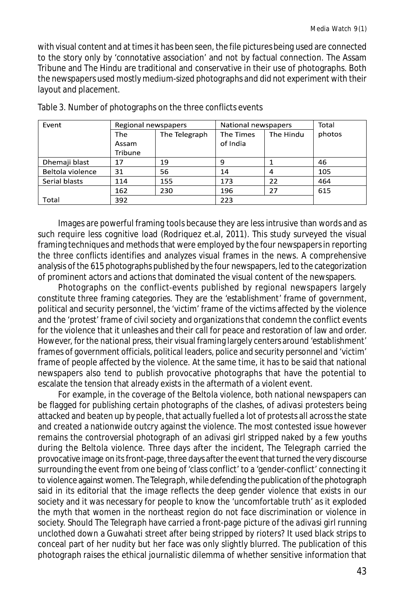with visual content and at times it has been seen, the file pictures being used are connected to the story only by 'connotative association' and not by factual connection. The Assam Tribune and The Hindu are traditional and conservative in their use of photographs. Both the newspapers used mostly medium-sized photographs and did not experiment with their layout and placement.

| Event            | Regional newspapers |               | National newspapers |           | Total  |
|------------------|---------------------|---------------|---------------------|-----------|--------|
|                  | <b>The</b>          | The Telegraph | The Times           | The Hindu | photos |
|                  | Assam               |               | of India            |           |        |
|                  | Tribune             |               |                     |           |        |
| Dhemaji blast    | 17                  | 19            | 9                   |           | 46     |
| Beltola violence | 31                  | 56            | 14                  | 4         | 105    |
| Serial blasts    | 114                 | 155           | 173                 | 22        | 464    |
|                  | 162                 | 230           | 196                 | 27        | 615    |
| Total            | 392                 |               | 223                 |           |        |

Table 3. Number of photographs on the three conflicts events

Images are powerful framing tools because they are less intrusive than words and as such require less cognitive load (Rodriquez et.al, 2011). This study surveyed the visual framing techniques and methods that were employed by the four newspapers in reporting the three conflicts identifies and analyzes visual frames in the news. A comprehensive analysis of the 615 photographs published by the four newspapers, led to the categorization of prominent actors and actions that dominated the visual content of the newspapers.

Photographs on the conflict-events published by regional newspapers largely constitute three framing categories. They are the 'establishment' frame of government, political and security personnel, the 'victim' frame of the victims affected by the violence and the 'protest' frame of civil society and organizations that condemn the conflict events for the violence that it unleashes and their call for peace and restoration of law and order. However, for the national press, their visual framing largely centers around 'establishment' frames of government officials, political leaders, police and security personnel and 'victim' frame of people affected by the violence. At the same time, it has to be said that national newspapers also tend to publish provocative photographs that have the potential to escalate the tension that already exists in the aftermath of a violent event.

For example, in the coverage of the Beltola violence, both national newspapers can be flagged for publishing certain photographs of the clashes, of *adivasi* protesters being attacked and beaten up by people, that actually fuelled a lot of protests all across the state and created a nationwide outcry against the violence. The most contested issue however remains the controversial photograph of an *adivasi* girl stripped naked by a few youths during the Beltola violence. Three days after the incident, The Telegraph carried the provocative image on its front-page, three days after the event that turned the very discourse surrounding the event from one being of 'class conflict' to a 'gender-conflict' connecting it to violence against women. *The Telegraph*, while defending the publication of the photograph said in its editorial that the image reflects the deep gender violence that exists in our society and it was necessary for people to know the 'uncomfortable truth' as it exploded the myth that women in the northeast region do not face discrimination or violence in society. Should *The Telegraph* have carried a front-page picture of the *adivasi* girl running unclothed down a Guwahati street after being stripped by rioters? It used black strips to conceal part of her nudity but her face was only slightly blurred. The publication of this photograph raises the ethical journalistic dilemma of whether sensitive information that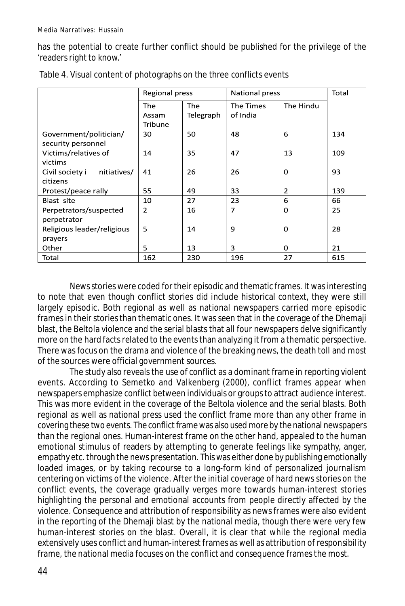has the potential to create further conflict should be published for the privilege of the 'readers right to know.'

|                                              | Regional press          |                         | <b>National press</b> |                | Total |
|----------------------------------------------|-------------------------|-------------------------|-----------------------|----------------|-------|
|                                              | The<br>Assam<br>Tribune | <b>The</b><br>Telegraph | The Times<br>of India | The Hindu      |       |
| Government/politician/<br>security personnel | 30                      | 50                      | 48                    | 6              | 134   |
| Victims/relatives of<br>victims              | 14                      | 35                      | 47                    | 13             | 109   |
| nitiatives/<br>Civil society i<br>citizens   | 41                      | 26                      | 26                    | 0              | 93    |
| Protest/peace rally                          | 55                      | 49                      | 33                    | $\overline{2}$ | 139   |
| Blast site                                   | 10                      | 27                      | 23                    | 6              | 66    |
| Perpetrators/suspected<br>perpetrator        | $\overline{2}$          | 16                      | 7                     | $\Omega$       | 25    |
| Religious leader/religious<br>prayers        | 5                       | 14                      | 9                     | 0              | 28    |
| Other                                        | 5                       | 13                      | 3                     | 0              | 21    |
| Total                                        | 162                     | 230                     | 196                   | 27             | 615   |

Table 4. Visual content of photographs on the three conflicts events

News stories were coded for their episodic and thematic frames. It was interesting to note that even though conflict stories did include historical context, they were still largely episodic. Both regional as well as national newspapers carried more episodic frames in their stories than thematic ones. It was seen that in the coverage of the Dhemaji blast, the Beltola violence and the serial blasts that all four newspapers delve significantly more on the hard facts related to the events than analyzing it from a thematic perspective. There was focus on the drama and violence of the breaking news, the death toll and most of the sources were official government sources.

The study also reveals the use of conflict as a dominant frame in reporting violent events. According to Semetko and Valkenberg (2000), conflict frames appear when newspapers emphasize conflict between individuals or groups to attract audience interest. This was more evident in the coverage of the Beltola violence and the serial blasts. Both regional as well as national press used the conflict frame more than any other frame in covering these two events. The conflict frame was also used more by the national newspapers than the regional ones. Human-interest frame on the other hand, appealed to the human emotional stimulus of readers by attempting to generate feelings like sympathy, anger, empathy etc. through the news presentation. This was either done by publishing emotionally loaded images, or by taking recourse to a long-form kind of personalized journalism centering on victims of the violence. After the initial coverage of hard news stories on the conflict events, the coverage gradually verges more towards human-interest stories highlighting the personal and emotional accounts from people directly affected by the violence. Consequence and attribution of responsibility as news frames were also evident in the reporting of the Dhemaji blast by the national media, though there were very few human-interest stories on the blast. Overall, it is clear that while the regional media extensively uses conflict and human-interest frames as well as attribution of responsibility frame, the national media focuses on the conflict and consequence frames the most.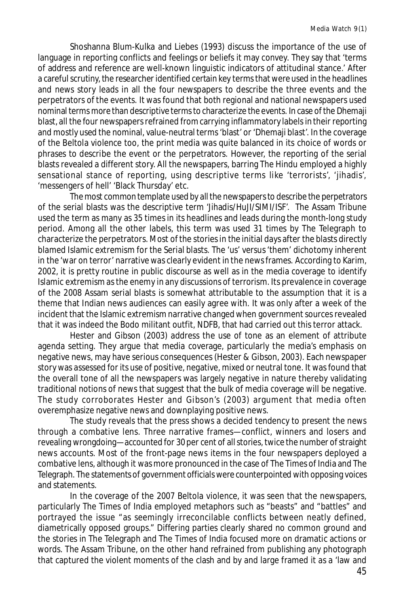Shoshanna Blum-Kulka and Liebes (1993) discuss the importance of the use of language in reporting conflicts and feelings or beliefs it may convey. They say that 'terms of address and reference are well-known linguistic indicators of attitudinal stance.' After a careful scrutiny, the researcher identified certain key terms that were used in the headlines and news story leads in all the four newspapers to describe the three events and the perpetrators of the events. It was found that both regional and national newspapers used nominal terms more than descriptive terms to characterize the events. In case of the Dhemaji blast, all the four newspapers refrained from carrying inflammatory labels in their reporting and mostly used the nominal, value-neutral terms 'blast' or 'Dhemaji blast'. In the coverage of the Beltola violence too, the print media was quite balanced in its choice of words or phrases to describe the event or the perpetrators. However, the reporting of the serial blasts revealed a different story. All the newspapers, barring The Hindu employed a highly sensational stance of reporting, using descriptive terms like 'terrorists', 'jihadis', 'messengers of hell' 'Black Thursday' etc.

The most common template used by all the newspapers to describe the perpetrators of the serial blasts was the descriptive term 'Jihadis/HuJI/SIMI/ISF'. The Assam Tribune used the term as many as 35 times in its headlines and leads during the month-long study period. Among all the other labels, this term was used 31 times by The Telegraph to characterize the perpetrators. Most of the stories in the initial days after the blasts directly blamed Islamic extremism for the Serial blasts. The 'us' versus 'them' dichotomy inherent in the 'war on terror' narrative was clearly evident in the news frames. According to Karim, 2002, it is pretty routine in public discourse as well as in the media coverage to identify Islamic extremism as the enemy in any discussions of terrorism. Its prevalence in coverage of the 2008 Assam serial blasts is somewhat attributable to the assumption that it is a theme that Indian news audiences can easily agree with. It was only after a week of the incident that the Islamic extremism narrative changed when government sources revealed that it was indeed the Bodo militant outfit, NDFB, that had carried out this terror attack.

Hester and Gibson (2003) address the use of tone as an element of attribute agenda setting. They argue that media coverage, particularly the media's emphasis on negative news, may have serious consequences (Hester & Gibson, 2003). Each newspaper story was assessed for its use of positive, negative, mixed or neutral tone. It was found that the overall tone of all the newspapers was largely negative in nature thereby validating traditional notions of news that suggest that the bulk of media coverage will be negative. The study corroborates Hester and Gibson's (2003) argument that media often overemphasize negative news and downplaying positive news.

The study reveals that the press shows a decided tendency to present the news through a combative lens. Three narrative frames—conflict, winners and losers and revealing wrongdoing—accounted for 30 per cent of all stories, twice the number of straight news accounts. Most of the front-page news items in the four newspapers deployed a combative lens, although it was more pronounced in the case of The Times of India and The Telegraph. The statements of government officials were counterpointed with opposing voices and statements.

In the coverage of the 2007 Beltola violence, it was seen that the newspapers, particularly The Times of India employed metaphors such as "beasts" and "battles" and portrayed the issue "as seemingly irreconcilable conflicts between neatly defined, diametrically opposed groups." Differing parties clearly shared no common ground and the stories in The Telegraph and The Times of India focused more on dramatic actions or words. The Assam Tribune, on the other hand refrained from publishing any photograph that captured the violent moments of the clash and by and large framed it as a 'law and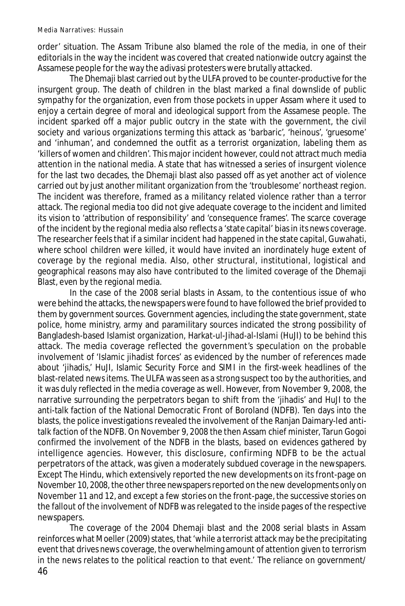order' situation. The Assam Tribune also blamed the role of the media, in one of their editorials in the way the incident was covered that created nationwide outcry against the Assamese people for the way the *adivasi* protesters were brutally attacked.

The Dhemaji blast carried out by the ULFA proved to be counter-productive for the insurgent group. The death of children in the blast marked a final downslide of public sympathy for the organization, even from those pockets in upper Assam where it used to enjoy a certain degree of moral and ideological support from the Assamese people. The incident sparked off a major public outcry in the state with the government, the civil society and various organizations terming this attack as 'barbaric', 'heinous', 'gruesome' and 'inhuman', and condemned the outfit as a terrorist organization, labeling them as 'killers of women and children'. This major incident however, could not attract much media attention in the national media. A state that has witnessed a series of insurgent violence for the last two decades, the Dhemaji blast also passed off as yet another act of violence carried out by just another militant organization from the 'troublesome' northeast region. The incident was therefore, framed as a militancy related violence rather than a terror attack. The regional media too did not give adequate coverage to the incident and limited its vision to 'attribution of responsibility' and 'consequence frames'. The scarce coverage of the incident by the regional media also reflects a 'state capital' bias in its news coverage. The researcher feels that if a similar incident had happened in the state capital, Guwahati, where school children were killed, it would have invited an inordinately huge extent of coverage by the regional media. Also, other structural, institutional, logistical and geographical reasons may also have contributed to the limited coverage of the Dhemaji Blast, even by the regional media.

In the case of the 2008 serial blasts in Assam, to the contentious issue of who were behind the attacks, the newspapers were found to have followed the brief provided to them by government sources. Government agencies, including the state government, state police, home ministry, army and paramilitary sources indicated the strong possibility of Bangladesh-based Islamist organization, Harkat-ul-Jihad-al-Islami (HuJI) to be behind this attack. The media coverage reflected the government's speculation on the probable involvement of 'Islamic jihadist forces' as evidenced by the number of references made about 'jihadis,' HuJI, Islamic Security Force and SIMI in the first-week headlines of the blast-related news items. The ULFA was seen as a strong suspect too by the authorities, and it was duly reflected in the media coverage as well. However, from November 9, 2008, the narrative surrounding the perpetrators began to shift from the 'jihadis' and HuJI to the anti-talk faction of the National Democratic Front of Boroland (NDFB). Ten days into the blasts, the police investigations revealed the involvement of the Ranjan Daimary-led antitalk faction of the NDFB. On November 9, 2008 the then Assam chief minister, Tarun Gogoi confirmed the involvement of the NDFB in the blasts, based on evidences gathered by intelligence agencies. However, this disclosure, confirming NDFB to be the actual perpetrators of the attack, was given a moderately subdued coverage in the newspapers. Except The Hindu, which extensively reported the new developments on its front-page on November 10, 2008, the other three newspapers reported on the new developments only on November 11 and 12, and except a few stories on the front-page, the successive stories on the fallout of the involvement of NDFB was relegated to the inside pages of the respective newspapers.

46 The coverage of the 2004 Dhemaji blast and the 2008 serial blasts in Assam reinforces what Moeller (2009) states, that 'while a terrorist attack may be the precipitating event that drives news coverage, the overwhelming amount of attention given to terrorism in the news relates to the political reaction to that event.' The reliance on government/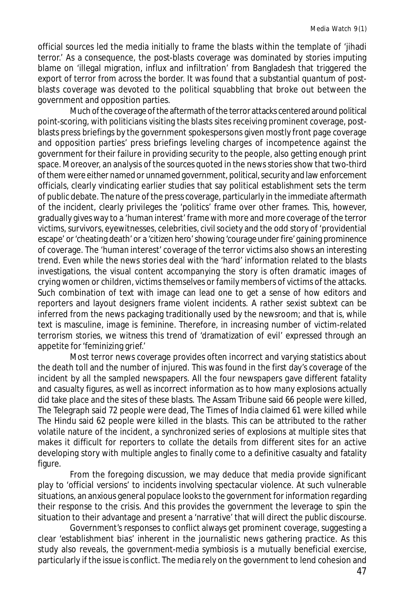official sources led the media initially to frame the blasts within the template of 'jihadi terror.' As a consequence, the post-blasts coverage was dominated by stories imputing blame on 'illegal migration, influx and infiltration' from Bangladesh that triggered the export of terror from across the border. It was found that a substantial quantum of postblasts coverage was devoted to the political squabbling that broke out between the government and opposition parties.

Much of the coverage of the aftermath of the terror attacks centered around political point-scoring, with politicians visiting the blasts sites receiving prominent coverage, postblasts press briefings by the government spokespersons given mostly front page coverage and opposition parties' press briefings leveling charges of incompetence against the government for their failure in providing security to the people, also getting enough print space. Moreover, an analysis of the sources quoted in the news stories show that two-third of them were either named or unnamed government, political, security and law enforcement officials, clearly vindicating earlier studies that say political establishment sets the term of public debate. The nature of the press coverage, particularly in the immediate aftermath of the incident, clearly privileges the 'politics' frame over other frames. This, however, gradually gives way to a 'human interest' frame with more and more coverage of the terror victims, survivors, eyewitnesses, celebrities, civil society and the odd story of 'providential escape' or 'cheating death' or a 'citizen hero' showing 'courage under fire' gaining prominence of coverage. The 'human interest' coverage of the terror victims also shows an interesting trend. Even while the news stories deal with the 'hard' information related to the blasts investigations, the visual content accompanying the story is often dramatic images of crying women or children, victims themselves or family members of victims of the attacks. Such combination of text with image can lead one to get a sense of how editors and reporters and layout designers frame violent incidents. A rather sexist subtext can be inferred from the news packaging traditionally used by the newsroom; and that is, while text is masculine, image is feminine. Therefore, in increasing number of victim-related terrorism stories, we witness this trend of 'dramatization of evil' expressed through an appetite for 'feminizing grief.'

Most terror news coverage provides often incorrect and varying statistics about the death toll and the number of injured. This was found in the first day's coverage of the incident by all the sampled newspapers. All the four newspapers gave different fatality and casualty figures, as well as incorrect information as to how many explosions actually did take place and the sites of these blasts. The Assam Tribune said 66 people were killed, The Telegraph said 72 people were dead, The Times of India claimed 61 were killed while The Hindu said 62 people were killed in the blasts. This can be attributed to the rather volatile nature of the incident, a synchronized series of explosions at multiple sites that makes it difficult for reporters to collate the details from different sites for an active developing story with multiple angles to finally come to a definitive casualty and fatality figure.

From the foregoing discussion, we may deduce that media provide significant play to 'official versions' to incidents involving spectacular violence. At such vulnerable situations, an anxious general populace looks to the government for information regarding their response to the crisis. And this provides the government the leverage to spin the situation to their advantage and present a 'narrative' that will direct the public discourse.

Government's responses to conflict always get prominent coverage, suggesting a clear 'establishment bias' inherent in the journalistic news gathering practice. As this study also reveals, the government-media symbiosis is a mutually beneficial exercise, particularly if the issue is conflict. The media rely on the government to lend cohesion and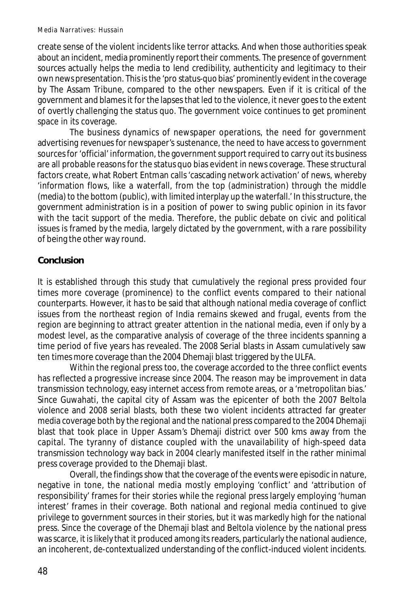create sense of the violent incidents like terror attacks. And when those authorities speak about an incident, media prominently report their comments. The presence of government sources actually helps the media to lend credibility, authenticity and legitimacy to their own news presentation. This is the 'pro status-quo bias' prominently evident in the coverage by The Assam Tribune, compared to the other newspapers. Even if it is critical of the government and blames it for the lapses that led to the violence, it never goes to the extent of overtly challenging the status quo. The government voice continues to get prominent space in its coverage.

The business dynamics of newspaper operations, the need for government advertising revenues for newspaper's sustenance, the need to have access to government sources for 'official' information, the government support required to carry out its business are all probable reasons for the status quo bias evident in news coverage. These structural factors create, what Robert Entman calls 'cascading network activation' of news, whereby 'information flows, like a waterfall, from the top (administration) through the middle (media) to the bottom (public), with limited interplay up the waterfall.' In this structure, the government administration is in a position of power to swing public opinion in its favor with the tacit support of the media. Therefore, the public debate on civic and political issues is framed by the media, largely dictated by the government, with a rare possibility of being the other way round.

### **Conclusion**

It is established through this study that cumulatively the regional press provided four times more coverage (prominence) to the conflict events compared to their national counterparts. However, it has to be said that although national media coverage of conflict issues from the northeast region of India remains skewed and frugal, events from the region are beginning to attract greater attention in the national media, even if only by a modest level, as the comparative analysis of coverage of the three incidents spanning a time period of five years has revealed. The 2008 Serial blasts in Assam cumulatively saw ten times more coverage than the 2004 Dhemaji blast triggered by the ULFA.

Within the regional press too, the coverage accorded to the three conflict events has reflected a progressive increase since 2004. The reason may be improvement in data transmission technology, easy internet access from remote areas, or a 'metropolitan bias.' Since Guwahati, the capital city of Assam was the epicenter of both the 2007 Beltola violence and 2008 serial blasts, both these two violent incidents attracted far greater media coverage both by the regional and the national press compared to the 2004 Dhemaji blast that took place in Upper Assam's Dhemaji district over 500 kms away from the capital. The tyranny of distance coupled with the unavailability of high-speed data transmission technology way back in 2004 clearly manifested itself in the rather minimal press coverage provided to the Dhemaji blast.

Overall, the findings show that the coverage of the events were episodic in nature, negative in tone, the national media mostly employing 'conflict' and 'attribution of responsibility' frames for their stories while the regional press largely employing 'human interest' frames in their coverage. Both national and regional media continued to give privilege to government sources in their stories, but it was markedly high for the national press. Since the coverage of the Dhemaji blast and Beltola violence by the national press was scarce, it is likely that it produced among its readers, particularly the national audience, an incoherent, de-contextualized understanding of the conflict-induced violent incidents.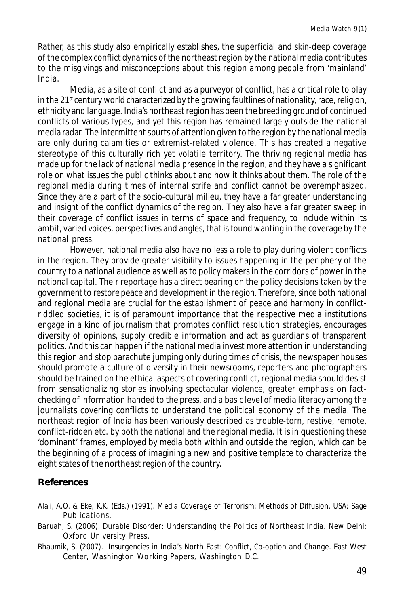Rather, as this study also empirically establishes, the superficial and skin-deep coverage of the complex conflict dynamics of the northeast region by the national media contributes to the misgivings and misconceptions about this region among people from 'mainland' India.

Media, as a site of conflict and as a purveyor of conflict, has a critical role to play in the 21<sup>st</sup> century world characterized by the growing faultlines of nationality, race, religion, ethnicity and language. India's northeast region has been the breeding ground of continued conflicts of various types, and yet this region has remained largely outside the national media radar. The intermittent spurts of attention given to the region by the national media are only during calamities or extremist-related violence. This has created a negative stereotype of this culturally rich yet volatile territory. The thriving regional media has made up for the lack of national media presence in the region, and they have a significant role on what issues the public thinks about and how it thinks about them. The role of the regional media during times of internal strife and conflict cannot be overemphasized. Since they are a part of the socio-cultural milieu, they have a far greater understanding and insight of the conflict dynamics of the region. They also have a far greater sweep in their coverage of conflict issues in terms of space and frequency, to include within its ambit, varied voices, perspectives and angles, that is found wanting in the coverage by the national press.

However, national media also have no less a role to play during violent conflicts in the region. They provide greater visibility to issues happening in the periphery of the country to a national audience as well as to policy makers in the corridors of power in the national capital. Their reportage has a direct bearing on the policy decisions taken by the government to restore peace and development in the region. Therefore, since both national and regional media are crucial for the establishment of peace and harmony in conflictriddled societies, it is of paramount importance that the respective media institutions engage in a kind of journalism that promotes conflict resolution strategies, encourages diversity of opinions, supply credible information and act as guardians of transparent politics. And this can happen if the national media invest more attention in understanding this region and stop parachute jumping only during times of crisis, the newspaper houses should promote a culture of diversity in their newsrooms, reporters and photographers should be trained on the ethical aspects of covering conflict, regional media should desist from sensationalizing stories involving spectacular violence, greater emphasis on factchecking of information handed to the press, and a basic level of media literacy among the journalists covering conflicts to understand the political economy of the media. The northeast region of India has been variously described as trouble-torn, restive, remote, conflict-ridden etc. by both the national and the regional media. It is in questioning these 'dominant' frames, employed by media both within and outside the region, which can be the beginning of a process of imagining a new and positive template to characterize the eight states of the northeast region of the country.

#### **References**

- Alali, A.O. & Eke, K.K. (Eds.) (1991). *Media Coverage of Terrorism: Methods of Diffusion*. USA: Sage Publications.
- Baruah, S. (2006). *Durable Disorder: Understanding the Politics of Northeast India.* New Delhi: Oxford University Press.
- Bhaumik, S. (2007). *Insurgencies in India's North East: Conflict, Co-option and Change*. East West Center, Washington Working Papers, Washington D.C.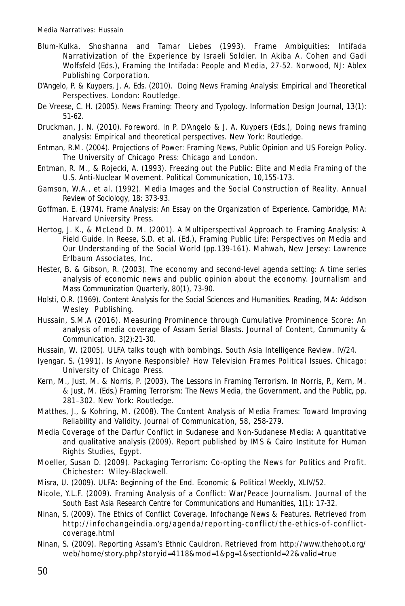- Blum-Kulka, Shoshanna and Tamar Liebes (1993). Frame Ambiguities: Intifada Narrativization of the Experience by Israeli Soldier. In Akiba A. Cohen and Gadi Wolfsfeld (Eds.), *Framing the Intifada: People and Media*, 27-52. Norwood, NJ: Ablex Publishing Corporation.
- D'Angelo, P. & Kuypers, J. A. Eds. (2010). *Doing News Framing Analysis: Empirical and Theoretical Perspectives*. London: Routledge.
- De Vreese, C. H. (2005). News Framing: Theory and Typology. *Information Design Journal*, 13(1): 51-62.
- Druckman, J. N. (2010). Foreword. In P. D'Angelo & J. A. Kuypers (Eds.), *Doing news framing analysis: Empirical and theoretical perspectives.* New York: Routledge.
- Entman, R.M. (2004). *Projections of Power: Framing News, Public Opinion and US Foreign Policy*. The University of Chicago Press: Chicago and London.
- Entman, R. M., & Rojecki, A. (1993). Freezing out the Public: Elite and Media Framing of the U.S. Anti-Nuclear Movement. *Political Communication*, 10,155-173.
- Gamson, W.A., et al. (1992). Media Images and the Social Construction of Reality. *Annual Review of Sociology*, 18: 373-93.
- Goffman. E. (1974). *Frame Analysis: An Essay on the Organization of Experience*. Cambridge, MA: Harvard University Press.
- Hertog, J. K., & McLeod D. M. (2001). A Multiperspectival Approach to Framing Analysis: A Field Guide. In Reese, S.D. et al. (Ed.), *Framing Public Life: Perspectives on Media and Our Understanding of the Social World* (pp.139-161). Mahwah, New Jersey: Lawrence Erlbaum Associates, Inc.
- Hester, B. & Gibson, R. (2003). The economy and second-level agenda setting: A time series analysis of economic news and public opinion about the economy. *Journalism and Mass Communication Quarterly, 80(1), 73-90.*
- Holsti, O.R. (1969). *Content Analysis for the Social Sciences and Humanities*. Reading, MA: Addison Wesley Publishing.
- Hussain, S.M.A (2016). Measuring Prominence through Cumulative Prominence Score: An analysis of media coverage of Assam Serial Blasts. *Journal of Content, Community & Communication*, 3(2):21-30.
- Hussain, W. (2005). ULFA talks tough with bombings. *South Asia Intelligence Review*. IV/24.
- Iyengar, S. (1991). *Is Anyone Responsible? How Television Frames Political Issues*. Chicago: University of Chicago Press.
- Kern, M., Just, M. & Norris, P. (2003). The Lessons in Framing Terrorism. In Norris, P., Kern, M. & Just, M. (Eds.) *Framing Terrorism: The News Media, the Government, and the Public*, pp. 281–302. New York: Routledge.
- Matthes, J., & Kohring, M. (2008). The Content Analysis of Media Frames: Toward Improving Reliability and Validity. *Journal of Communication*, 58, 258-279.
- Media Coverage of the Darfur Conflict in Sudanese and Non-Sudanese Media: A quantitative and qualitative analysis (2009). Report published by IMS & Cairo Institute for Human Rights Studies, Egypt.
- Moeller, Susan D. (2009). Packaging Terrorism: Co-opting the News for Politics and Profit. Chichester: Wiley-Blackwell.
- Misra, U. (2009). ULFA: Beginning of the End. *Economic & Political Weekly*, XLIV/52.
- Nicole, Y.L.F. (2009). Framing Analysis of a Conflict: War/Peace Journalism. *Journal of the South East Asia Research Centre for Communications and Humanities*, 1(1): 17-32.
- Ninan, S. (2009). *The Ethics of Conflict Coverage*. Infochange News & Features. Retrieved from http://infochangeindia.org/agenda/reporting-conflict/the-ethics-of-conflictcoverage.html
- Ninan, S. (2009). *Reporting Assam's Ethnic Cauldron*. Retrieved from http://www.thehoot.org/ web/home/story.php?storyid=4118&mod=1&pg=1&sectionId=22&valid=true